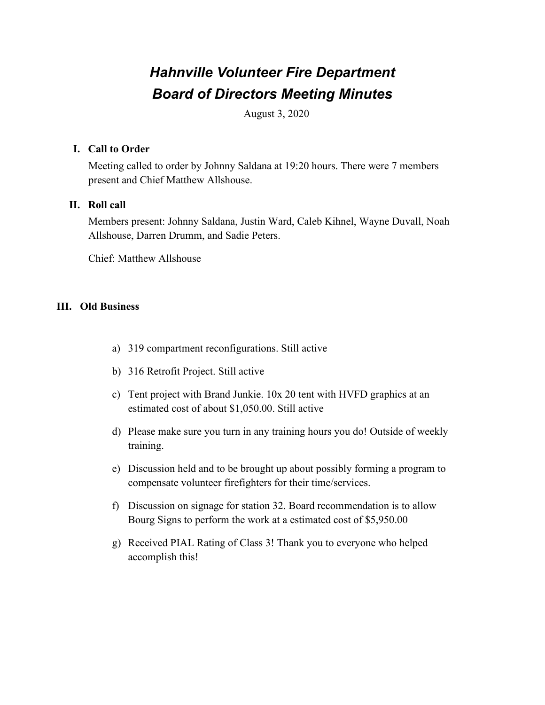# *Hahnville Volunteer Fire Department Board of Directors Meeting Minutes*

August 3, 2020

### **I. Call to Order**

Meeting called to order by Johnny Saldana at 19:20 hours. There were 7 members present and Chief Matthew Allshouse.

## **II. Roll call**

Members present: Johnny Saldana, Justin Ward, Caleb Kihnel, Wayne Duvall, Noah Allshouse, Darren Drumm, and Sadie Peters.

Chief: Matthew Allshouse

## **III. Old Business**

- a) 319 compartment reconfigurations. Still active
- b) 316 Retrofit Project. Still active
- c) Tent project with Brand Junkie. 10x 20 tent with HVFD graphics at an estimated cost of about \$1,050.00. Still active
- d) Please make sure you turn in any training hours you do! Outside of weekly training.
- e) Discussion held and to be brought up about possibly forming a program to compensate volunteer firefighters for their time/services.
- f) Discussion on signage for station 32. Board recommendation is to allow Bourg Signs to perform the work at a estimated cost of \$5,950.00
- g) Received PIAL Rating of Class 3! Thank you to everyone who helped accomplish this!